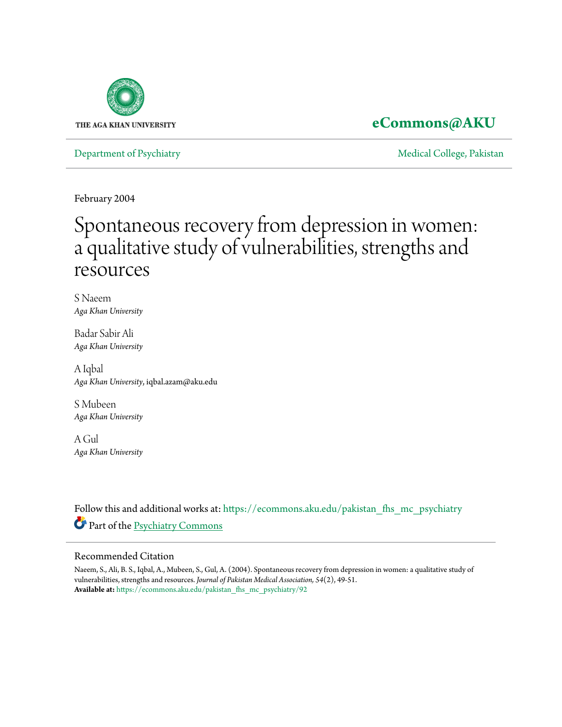

# **[eCommons@AKU](https://ecommons.aku.edu?utm_source=ecommons.aku.edu%2Fpakistan_fhs_mc_psychiatry%2F92&utm_medium=PDF&utm_campaign=PDFCoverPages)**

[Department of Psychiatry](https://ecommons.aku.edu/pakistan_fhs_mc_psychiatry?utm_source=ecommons.aku.edu%2Fpakistan_fhs_mc_psychiatry%2F92&utm_medium=PDF&utm_campaign=PDFCoverPages) and the College, Pakistan [Medical College, Pakistan](https://ecommons.aku.edu/pakistan_fhs_mc?utm_source=ecommons.aku.edu%2Fpakistan_fhs_mc_psychiatry%2F92&utm_medium=PDF&utm_campaign=PDFCoverPages) Medical College, Pakistan Medical College, Pakistan Medical College, Pakistan Medical College, Pakistan Medical College, Pakistan Medical College

February 2004

# Spontaneous recovery from depression in women: a qualitative study of vulnerabilities, strengths and resources

S Naeem *Aga Khan University*

Badar Sabir Ali *Aga Khan University*

A Iqbal *Aga Khan University*, iqbal.azam@aku.edu

S Mubeen *Aga Khan University*

A Gul *Aga Khan University*

Follow this and additional works at: [https://ecommons.aku.edu/pakistan\\_fhs\\_mc\\_psychiatry](https://ecommons.aku.edu/pakistan_fhs_mc_psychiatry?utm_source=ecommons.aku.edu%2Fpakistan_fhs_mc_psychiatry%2F92&utm_medium=PDF&utm_campaign=PDFCoverPages) Part of the [Psychiatry Commons](http://network.bepress.com/hgg/discipline/704?utm_source=ecommons.aku.edu%2Fpakistan_fhs_mc_psychiatry%2F92&utm_medium=PDF&utm_campaign=PDFCoverPages)

#### Recommended Citation

Naeem, S., Ali, B. S., Iqbal, A., Mubeen, S., Gul, A. (2004). Spontaneous recovery from depression in women: a qualitative study of vulnerabilities, strengths and resources. *Journal of Pakistan Medical Association, 54*(2), 49-51. **Available at:** [https://ecommons.aku.edu/pakistan\\_fhs\\_mc\\_psychiatry/92](https://ecommons.aku.edu/pakistan_fhs_mc_psychiatry/92)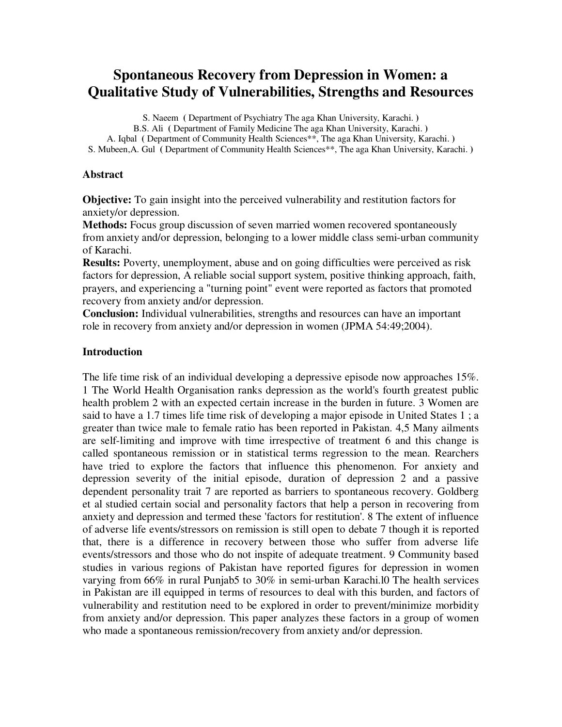# **Spontaneous Recovery from Depression in Women: a Qualitative Study of Vulnerabilities, Strengths and Resources**

S. Naeem **(** Department of Psychiatry The aga Khan University, Karachi. **)** 

B.S. Ali **(** Department of Family Medicine The aga Khan University, Karachi. **)**  A. Iqbal **(** Department of Community Health Sciences\*\*, The aga Khan University, Karachi. **)** 

S. Mubeen,A. Gul **(** Department of Community Health Sciences\*\*, The aga Khan University, Karachi. **)**

#### **Abstract**

**Objective:** To gain insight into the perceived vulnerability and restitution factors for anxiety/or depression.

**Methods:** Focus group discussion of seven married women recovered spontaneously from anxiety and/or depression, belonging to a lower middle class semi-urban community of Karachi.

**Results:** Poverty, unemployment, abuse and on going difficulties were perceived as risk factors for depression, A reliable social support system, positive thinking approach, faith, prayers, and experiencing a "turning point" event were reported as factors that promoted recovery from anxiety and/or depression.

**Conclusion:** Individual vulnerabilities, strengths and resources can have an important role in recovery from anxiety and/or depression in women (JPMA 54:49;2004).

#### **Introduction**

The life time risk of an individual developing a depressive episode now approaches 15%. 1 The World Health Organisation ranks depression as the world's fourth greatest public health problem 2 with an expected certain increase in the burden in future. 3 Women are said to have a 1.7 times life time risk of developing a major episode in United States 1 ; a greater than twice male to female ratio has been reported in Pakistan. 4,5 Many ailments are self-limiting and improve with time irrespective of treatment 6 and this change is called spontaneous remission or in statistical terms regression to the mean. Rearchers have tried to explore the factors that influence this phenomenon. For anxiety and depression severity of the initial episode, duration of depression 2 and a passive dependent personality trait 7 are reported as barriers to spontaneous recovery. Goldberg et al studied certain social and personality factors that help a person in recovering from anxiety and depression and termed these 'factors for restitution'. 8 The extent of influence of adverse life events/stressors on remission is still open to debate 7 though it is reported that, there is a difference in recovery between those who suffer from adverse life events/stressors and those who do not inspite of adequate treatment. 9 Community based studies in various regions of Pakistan have reported figures for depression in women varying from 66% in rural Punjab5 to 30% in semi-urban Karachi.l0 The health services in Pakistan are ill equipped in terms of resources to deal with this burden, and factors of vulnerability and restitution need to be explored in order to prevent/minimize morbidity from anxiety and/or depression. This paper analyzes these factors in a group of women who made a spontaneous remission/recovery from anxiety and/or depression.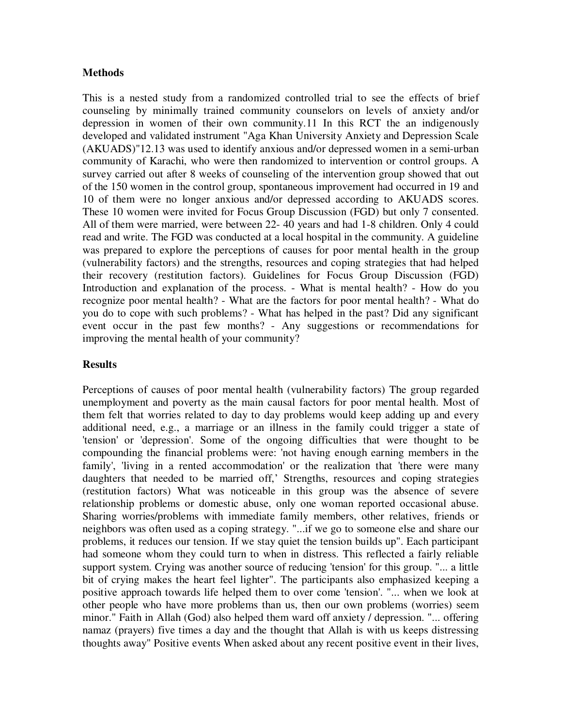#### **Methods**

This is a nested study from a randomized controlled trial to see the effects of brief counseling by minimally trained community counselors on levels of anxiety and/or depression in women of their own community.11 In this RCT the an indigenously developed and validated instrument "Aga Khan University Anxiety and Depression Scale (AKUADS)"12.13 was used to identify anxious and/or depressed women in a semi-urban community of Karachi, who were then randomized to intervention or control groups. A survey carried out after 8 weeks of counseling of the intervention group showed that out of the 150 women in the control group, spontaneous improvement had occurred in 19 and 10 of them were no longer anxious and/or depressed according to AKUADS scores. These 10 women were invited for Focus Group Discussion (FGD) but only 7 consented. All of them were married, were between 22- 40 years and had 1-8 children. Only 4 could read and write. The FGD was conducted at a local hospital in the community. A guideline was prepared to explore the perceptions of causes for poor mental health in the group (vulnerability factors) and the strengths, resources and coping strategies that had helped their recovery (restitution factors). Guidelines for Focus Group Discussion (FGD) Introduction and explanation of the process. - What is mental health? - How do you recognize poor mental health? - What are the factors for poor mental health? - What do you do to cope with such problems? - What has helped in the past? Did any significant event occur in the past few months? - Any suggestions or recommendations for improving the mental health of your community?

#### **Results**

Perceptions of causes of poor mental health (vulnerability factors) The group regarded unemployment and poverty as the main causal factors for poor mental health. Most of them felt that worries related to day to day problems would keep adding up and every additional need, e.g., a marriage or an illness in the family could trigger a state of 'tension' or 'depression'. Some of the ongoing difficulties that were thought to be compounding the financial problems were: 'not having enough earning members in the family', 'living in a rented accommodation' or the realization that 'there were many daughters that needed to be married off,' Strengths, resources and coping strategies (restitution factors) What was noticeable in this group was the absence of severe relationship problems or domestic abuse, only one woman reported occasional abuse. Sharing worries/problems with immediate family members, other relatives, friends or neighbors was often used as a coping strategy. "...if we go to someone else and share our problems, it reduces our tension. If we stay quiet the tension builds up". Each participant had someone whom they could turn to when in distress. This reflected a fairly reliable support system. Crying was another source of reducing 'tension' for this group. "... a little bit of crying makes the heart feel lighter". The participants also emphasized keeping a positive approach towards life helped them to over come 'tension'. "... when we look at other people who have more problems than us, then our own problems (worries) seem minor." Faith in Allah (God) also helped them ward off anxiety / depression. "... offering namaz (prayers) five times a day and the thought that Allah is with us keeps distressing thoughts away" Positive events When asked about any recent positive event in their lives,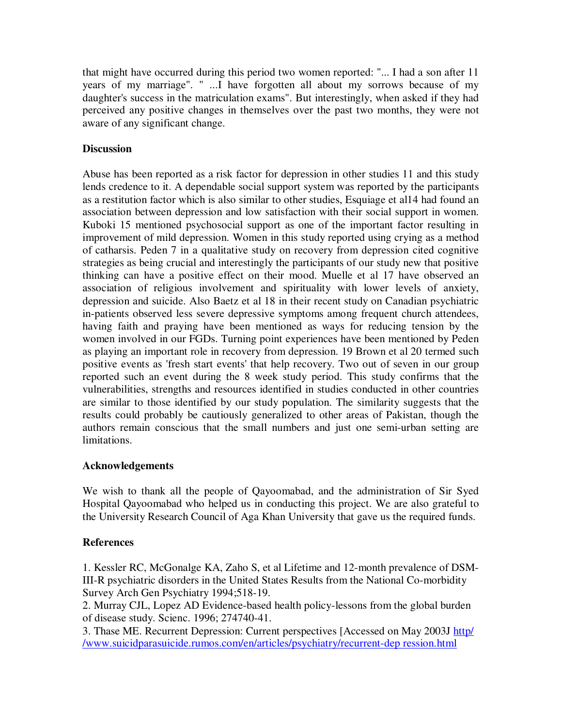that might have occurred during this period two women reported: "... I had a son after 11 years of my marriage". " ...I have forgotten all about my sorrows because of my daughter's success in the matriculation exams". But interestingly, when asked if they had perceived any positive changes in themselves over the past two months, they were not aware of any significant change.

## **Discussion**

Abuse has been reported as a risk factor for depression in other studies 11 and this study lends credence to it. A dependable social support system was reported by the participants as a restitution factor which is also similar to other studies, Esquiage et al14 had found an association between depression and low satisfaction with their social support in women. Kuboki 15 mentioned psychosocial support as one of the important factor resulting in improvement of mild depression. Women in this study reported using crying as a method of catharsis. Peden 7 in a qualitative study on recovery from depression cited cognitive strategies as being crucial and interestingly the participants of our study new that positive thinking can have a positive effect on their mood. Muelle et al 17 have observed an association of religious involvement and spirituality with lower levels of anxiety, depression and suicide. Also Baetz et al 18 in their recent study on Canadian psychiatric in-patients observed less severe depressive symptoms among frequent church attendees, having faith and praying have been mentioned as ways for reducing tension by the women involved in our FGDs. Turning point experiences have been mentioned by Peden as playing an important role in recovery from depression. 19 Brown et al 20 termed such positive events as 'fresh start events' that help recovery. Two out of seven in our group reported such an event during the 8 week study period. This study confirms that the vulnerabilities, strengths and resources identified in studies conducted in other countries are similar to those identified by our study population. The similarity suggests that the results could probably be cautiously generalized to other areas of Pakistan, though the authors remain conscious that the small numbers and just one semi-urban setting are limitations.

## **Acknowledgements**

We wish to thank all the people of Qayoomabad, and the administration of Sir Syed Hospital Qayoomabad who helped us in conducting this project. We are also grateful to the University Research Council of Aga Khan University that gave us the required funds.

## **References**

1. Kessler RC, McGonalge KA, Zaho S, et al Lifetime and 12-month prevalence of DSM-III-R psychiatric disorders in the United States Results from the National Co-morbidity Survey Arch Gen Psychiatry 1994;518-19.

2. Murray CJL, Lopez AD Evidence-based health policy-lessons from the global burden of disease study. Scienc. 1996; 274740-41.

3. Thase ME. Recurrent Depression: Current perspectives [Accessed on May 2003J http/ /www.suicidparasuicide.rumos.com/en/articles/psychiatry/recurrent-dep ression.html